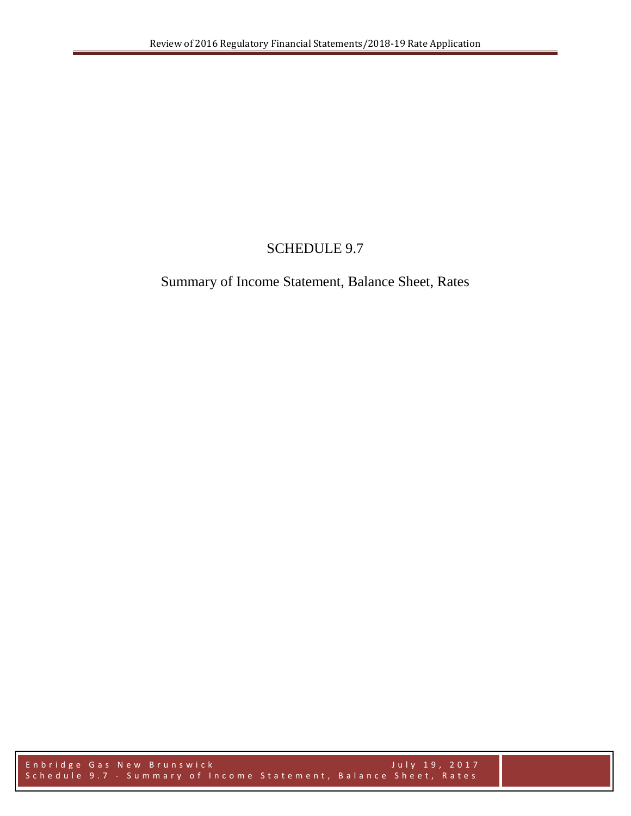## SCHEDULE 9.7

## Summary of Income Statement, Balance Sheet, Rates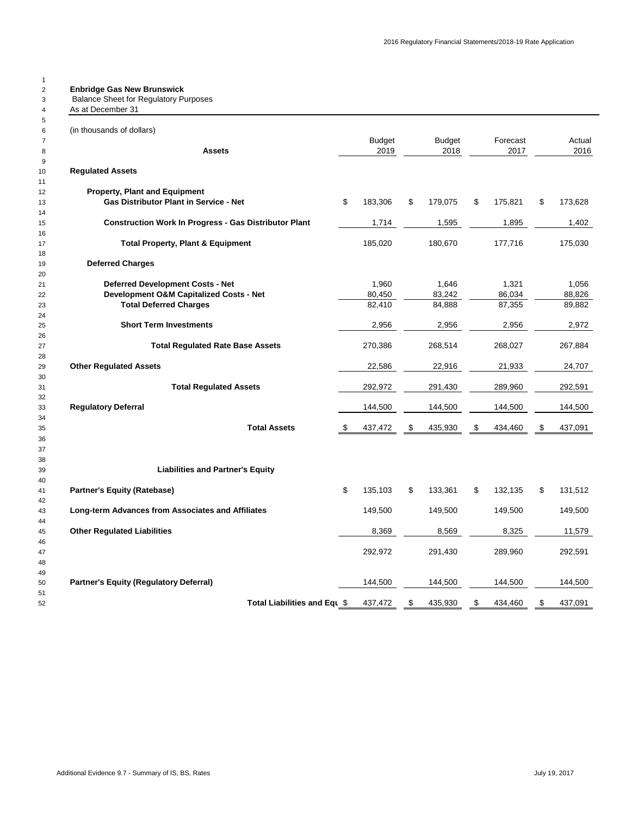| (in thousands of dollars)<br><b>Budget</b><br><b>Budget</b><br>Forecast<br>2019<br>2017<br>2018<br>Assets<br><b>Regulated Assets</b><br><b>Property, Plant and Equipment</b><br>Gas Distributor Plant in Service - Net<br>\$<br>183,306<br>\$<br>179,075<br>\$<br>175,821<br>\$<br><b>Construction Work In Progress - Gas Distributor Plant</b><br>1,714<br>1,895<br>1,402<br>1,595<br><b>Total Property, Plant &amp; Equipment</b><br>185,020<br>180,670<br>177,716<br><b>Deferred Charges</b><br>1,960<br>1,646<br>1,321<br><b>Deferred Development Costs - Net</b><br>80,450<br>83,242<br>86,034<br>Development O&M Capitalized Costs - Net<br><b>Total Deferred Charges</b><br>82,410<br>84,888<br>87,355<br><b>Short Term Investments</b><br>2,956<br>2,956<br>2,956<br>2,972<br>270,386<br>268,027<br><b>Total Regulated Rate Base Assets</b><br>268,514<br><b>Other Regulated Assets</b><br>22,586<br>22,916<br>21,933<br><b>Total Regulated Assets</b><br>292,972<br>291,430<br>289,960<br>292,591<br><b>Regulatory Deferral</b><br>144,500<br>144,500<br>144,500<br><b>Total Assets</b><br>435,930<br>\$<br>437,091<br>437,472<br>\$<br>\$<br>434.460<br>\$<br><b>Liabilities and Partner's Equity</b><br>\$<br>\$<br>\$<br>135,103<br>133,361<br>132,135<br>\$<br><b>Partner's Equity (Ratebase)</b><br>131,512<br>Long-term Advances from Associates and Affiliates<br>149,500<br>149,500<br>149,500<br>8,325<br><b>Other Regulated Liabilities</b><br>8,369<br>8,569<br>292,972<br>289,960<br>291,430<br>292,591<br><b>Partner's Equity (Regulatory Deferral)</b><br>144,500<br>144,500<br>144,500<br>437,472<br>\$<br>435,930<br>\$<br>\$<br>Total Liabilities and Equ \$<br>434,460 | As at December 31 |  |  |  |         |
|---------------------------------------------------------------------------------------------------------------------------------------------------------------------------------------------------------------------------------------------------------------------------------------------------------------------------------------------------------------------------------------------------------------------------------------------------------------------------------------------------------------------------------------------------------------------------------------------------------------------------------------------------------------------------------------------------------------------------------------------------------------------------------------------------------------------------------------------------------------------------------------------------------------------------------------------------------------------------------------------------------------------------------------------------------------------------------------------------------------------------------------------------------------------------------------------------------------------------------------------------------------------------------------------------------------------------------------------------------------------------------------------------------------------------------------------------------------------------------------------------------------------------------------------------------------------------------------------------------------------------------------------------------------------------------------------------|-------------------|--|--|--|---------|
|                                                                                                                                                                                                                                                                                                                                                                                                                                                                                                                                                                                                                                                                                                                                                                                                                                                                                                                                                                                                                                                                                                                                                                                                                                                                                                                                                                                                                                                                                                                                                                                                                                                                                                   |                   |  |  |  |         |
|                                                                                                                                                                                                                                                                                                                                                                                                                                                                                                                                                                                                                                                                                                                                                                                                                                                                                                                                                                                                                                                                                                                                                                                                                                                                                                                                                                                                                                                                                                                                                                                                                                                                                                   |                   |  |  |  | Actual  |
|                                                                                                                                                                                                                                                                                                                                                                                                                                                                                                                                                                                                                                                                                                                                                                                                                                                                                                                                                                                                                                                                                                                                                                                                                                                                                                                                                                                                                                                                                                                                                                                                                                                                                                   |                   |  |  |  | 2016    |
|                                                                                                                                                                                                                                                                                                                                                                                                                                                                                                                                                                                                                                                                                                                                                                                                                                                                                                                                                                                                                                                                                                                                                                                                                                                                                                                                                                                                                                                                                                                                                                                                                                                                                                   |                   |  |  |  |         |
|                                                                                                                                                                                                                                                                                                                                                                                                                                                                                                                                                                                                                                                                                                                                                                                                                                                                                                                                                                                                                                                                                                                                                                                                                                                                                                                                                                                                                                                                                                                                                                                                                                                                                                   |                   |  |  |  |         |
|                                                                                                                                                                                                                                                                                                                                                                                                                                                                                                                                                                                                                                                                                                                                                                                                                                                                                                                                                                                                                                                                                                                                                                                                                                                                                                                                                                                                                                                                                                                                                                                                                                                                                                   |                   |  |  |  | 173,628 |
|                                                                                                                                                                                                                                                                                                                                                                                                                                                                                                                                                                                                                                                                                                                                                                                                                                                                                                                                                                                                                                                                                                                                                                                                                                                                                                                                                                                                                                                                                                                                                                                                                                                                                                   |                   |  |  |  |         |
|                                                                                                                                                                                                                                                                                                                                                                                                                                                                                                                                                                                                                                                                                                                                                                                                                                                                                                                                                                                                                                                                                                                                                                                                                                                                                                                                                                                                                                                                                                                                                                                                                                                                                                   |                   |  |  |  |         |
|                                                                                                                                                                                                                                                                                                                                                                                                                                                                                                                                                                                                                                                                                                                                                                                                                                                                                                                                                                                                                                                                                                                                                                                                                                                                                                                                                                                                                                                                                                                                                                                                                                                                                                   |                   |  |  |  | 175,030 |
|                                                                                                                                                                                                                                                                                                                                                                                                                                                                                                                                                                                                                                                                                                                                                                                                                                                                                                                                                                                                                                                                                                                                                                                                                                                                                                                                                                                                                                                                                                                                                                                                                                                                                                   |                   |  |  |  |         |
|                                                                                                                                                                                                                                                                                                                                                                                                                                                                                                                                                                                                                                                                                                                                                                                                                                                                                                                                                                                                                                                                                                                                                                                                                                                                                                                                                                                                                                                                                                                                                                                                                                                                                                   |                   |  |  |  |         |
|                                                                                                                                                                                                                                                                                                                                                                                                                                                                                                                                                                                                                                                                                                                                                                                                                                                                                                                                                                                                                                                                                                                                                                                                                                                                                                                                                                                                                                                                                                                                                                                                                                                                                                   |                   |  |  |  | 1.056   |
|                                                                                                                                                                                                                                                                                                                                                                                                                                                                                                                                                                                                                                                                                                                                                                                                                                                                                                                                                                                                                                                                                                                                                                                                                                                                                                                                                                                                                                                                                                                                                                                                                                                                                                   |                   |  |  |  | 88,826  |
|                                                                                                                                                                                                                                                                                                                                                                                                                                                                                                                                                                                                                                                                                                                                                                                                                                                                                                                                                                                                                                                                                                                                                                                                                                                                                                                                                                                                                                                                                                                                                                                                                                                                                                   |                   |  |  |  | 89,882  |
|                                                                                                                                                                                                                                                                                                                                                                                                                                                                                                                                                                                                                                                                                                                                                                                                                                                                                                                                                                                                                                                                                                                                                                                                                                                                                                                                                                                                                                                                                                                                                                                                                                                                                                   |                   |  |  |  |         |
|                                                                                                                                                                                                                                                                                                                                                                                                                                                                                                                                                                                                                                                                                                                                                                                                                                                                                                                                                                                                                                                                                                                                                                                                                                                                                                                                                                                                                                                                                                                                                                                                                                                                                                   |                   |  |  |  |         |
|                                                                                                                                                                                                                                                                                                                                                                                                                                                                                                                                                                                                                                                                                                                                                                                                                                                                                                                                                                                                                                                                                                                                                                                                                                                                                                                                                                                                                                                                                                                                                                                                                                                                                                   |                   |  |  |  | 267,884 |
|                                                                                                                                                                                                                                                                                                                                                                                                                                                                                                                                                                                                                                                                                                                                                                                                                                                                                                                                                                                                                                                                                                                                                                                                                                                                                                                                                                                                                                                                                                                                                                                                                                                                                                   |                   |  |  |  |         |
|                                                                                                                                                                                                                                                                                                                                                                                                                                                                                                                                                                                                                                                                                                                                                                                                                                                                                                                                                                                                                                                                                                                                                                                                                                                                                                                                                                                                                                                                                                                                                                                                                                                                                                   |                   |  |  |  | 24,707  |
|                                                                                                                                                                                                                                                                                                                                                                                                                                                                                                                                                                                                                                                                                                                                                                                                                                                                                                                                                                                                                                                                                                                                                                                                                                                                                                                                                                                                                                                                                                                                                                                                                                                                                                   |                   |  |  |  |         |
|                                                                                                                                                                                                                                                                                                                                                                                                                                                                                                                                                                                                                                                                                                                                                                                                                                                                                                                                                                                                                                                                                                                                                                                                                                                                                                                                                                                                                                                                                                                                                                                                                                                                                                   |                   |  |  |  |         |
|                                                                                                                                                                                                                                                                                                                                                                                                                                                                                                                                                                                                                                                                                                                                                                                                                                                                                                                                                                                                                                                                                                                                                                                                                                                                                                                                                                                                                                                                                                                                                                                                                                                                                                   |                   |  |  |  | 144,500 |
|                                                                                                                                                                                                                                                                                                                                                                                                                                                                                                                                                                                                                                                                                                                                                                                                                                                                                                                                                                                                                                                                                                                                                                                                                                                                                                                                                                                                                                                                                                                                                                                                                                                                                                   |                   |  |  |  |         |
|                                                                                                                                                                                                                                                                                                                                                                                                                                                                                                                                                                                                                                                                                                                                                                                                                                                                                                                                                                                                                                                                                                                                                                                                                                                                                                                                                                                                                                                                                                                                                                                                                                                                                                   |                   |  |  |  |         |
|                                                                                                                                                                                                                                                                                                                                                                                                                                                                                                                                                                                                                                                                                                                                                                                                                                                                                                                                                                                                                                                                                                                                                                                                                                                                                                                                                                                                                                                                                                                                                                                                                                                                                                   |                   |  |  |  |         |
|                                                                                                                                                                                                                                                                                                                                                                                                                                                                                                                                                                                                                                                                                                                                                                                                                                                                                                                                                                                                                                                                                                                                                                                                                                                                                                                                                                                                                                                                                                                                                                                                                                                                                                   |                   |  |  |  |         |
|                                                                                                                                                                                                                                                                                                                                                                                                                                                                                                                                                                                                                                                                                                                                                                                                                                                                                                                                                                                                                                                                                                                                                                                                                                                                                                                                                                                                                                                                                                                                                                                                                                                                                                   |                   |  |  |  |         |
|                                                                                                                                                                                                                                                                                                                                                                                                                                                                                                                                                                                                                                                                                                                                                                                                                                                                                                                                                                                                                                                                                                                                                                                                                                                                                                                                                                                                                                                                                                                                                                                                                                                                                                   |                   |  |  |  |         |
|                                                                                                                                                                                                                                                                                                                                                                                                                                                                                                                                                                                                                                                                                                                                                                                                                                                                                                                                                                                                                                                                                                                                                                                                                                                                                                                                                                                                                                                                                                                                                                                                                                                                                                   |                   |  |  |  |         |
|                                                                                                                                                                                                                                                                                                                                                                                                                                                                                                                                                                                                                                                                                                                                                                                                                                                                                                                                                                                                                                                                                                                                                                                                                                                                                                                                                                                                                                                                                                                                                                                                                                                                                                   |                   |  |  |  | 149,500 |
|                                                                                                                                                                                                                                                                                                                                                                                                                                                                                                                                                                                                                                                                                                                                                                                                                                                                                                                                                                                                                                                                                                                                                                                                                                                                                                                                                                                                                                                                                                                                                                                                                                                                                                   |                   |  |  |  |         |
|                                                                                                                                                                                                                                                                                                                                                                                                                                                                                                                                                                                                                                                                                                                                                                                                                                                                                                                                                                                                                                                                                                                                                                                                                                                                                                                                                                                                                                                                                                                                                                                                                                                                                                   |                   |  |  |  | 11,579  |
|                                                                                                                                                                                                                                                                                                                                                                                                                                                                                                                                                                                                                                                                                                                                                                                                                                                                                                                                                                                                                                                                                                                                                                                                                                                                                                                                                                                                                                                                                                                                                                                                                                                                                                   |                   |  |  |  |         |
|                                                                                                                                                                                                                                                                                                                                                                                                                                                                                                                                                                                                                                                                                                                                                                                                                                                                                                                                                                                                                                                                                                                                                                                                                                                                                                                                                                                                                                                                                                                                                                                                                                                                                                   |                   |  |  |  |         |
|                                                                                                                                                                                                                                                                                                                                                                                                                                                                                                                                                                                                                                                                                                                                                                                                                                                                                                                                                                                                                                                                                                                                                                                                                                                                                                                                                                                                                                                                                                                                                                                                                                                                                                   |                   |  |  |  |         |
|                                                                                                                                                                                                                                                                                                                                                                                                                                                                                                                                                                                                                                                                                                                                                                                                                                                                                                                                                                                                                                                                                                                                                                                                                                                                                                                                                                                                                                                                                                                                                                                                                                                                                                   |                   |  |  |  | 144,500 |
|                                                                                                                                                                                                                                                                                                                                                                                                                                                                                                                                                                                                                                                                                                                                                                                                                                                                                                                                                                                                                                                                                                                                                                                                                                                                                                                                                                                                                                                                                                                                                                                                                                                                                                   |                   |  |  |  | 437,091 |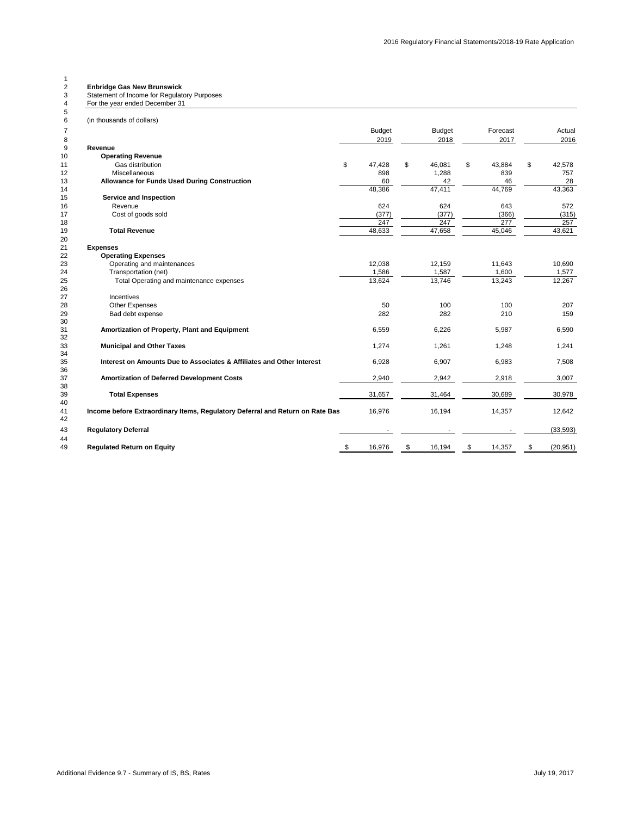## **Enbridge Gas New Brunswick** 3 Statement of Income for Regulatory Purposes

| 4        | For the year ended December 31                                                |               |               |              |                 |
|----------|-------------------------------------------------------------------------------|---------------|---------------|--------------|-----------------|
| 5        |                                                                               |               |               |              |                 |
| 6        | (in thousands of dollars)                                                     |               |               |              |                 |
| 7        |                                                                               | <b>Budget</b> | <b>Budget</b> | Forecast     | Actual          |
| 8        |                                                                               | 2019          | 2018          | 2017         | 2016            |
| 9        | Revenue                                                                       |               |               |              |                 |
| 10       | <b>Operating Revenue</b>                                                      |               |               |              |                 |
| 11       | Gas distribution                                                              | \$<br>47,428  | \$<br>46,081  | \$<br>43,884 | \$<br>42,578    |
| 12       | Miscellaneous                                                                 | 898           | 1,288         | 839          | 757             |
| 13       | Allowance for Funds Used During Construction                                  | 60            | 42            | 46           | 28              |
| 14       |                                                                               | 48,386        | 47,411        | 44,769       | 43,363          |
| 15       | Service and Inspection                                                        |               |               |              |                 |
| 16       | Revenue                                                                       | 624           | 624           | 643          | 572             |
| 17       | Cost of goods sold                                                            | (377)         | (377)         | (366)        | (315)           |
| 18       |                                                                               | 247           | 247           | 277          | 257             |
| 19       | <b>Total Revenue</b>                                                          | 48,633        | 47,658        | 45,046       | 43,621          |
| 20       |                                                                               |               |               |              |                 |
| 21       | <b>Expenses</b>                                                               |               |               |              |                 |
| 22       | <b>Operating Expenses</b>                                                     |               |               |              |                 |
| 23       | Operating and maintenances                                                    | 12,038        | 12,159        | 11,643       | 10,690          |
| 24       | Transportation (net)                                                          | 1,586         | 1,587         | 1,600        | 1,577           |
| 25       | Total Operating and maintenance expenses                                      | 13,624        | 13,746        | 13,243       | 12,267          |
| 26       |                                                                               |               |               |              |                 |
| 27       | Incentives                                                                    |               |               |              |                 |
| 28       | Other Expenses                                                                | 50            | 100           | 100          | 207             |
| 29<br>30 | Bad debt expense                                                              | 282           | 282           | 210          | 159             |
| 31       | Amortization of Property, Plant and Equipment                                 | 6,559         | 6,226         | 5,987        | 6,590           |
| 32       |                                                                               |               |               |              |                 |
| 33       | <b>Municipal and Other Taxes</b>                                              | 1,274         | 1,261         | 1,248        | 1,241           |
| 34       |                                                                               |               |               |              |                 |
| 35       | Interest on Amounts Due to Associates & Affiliates and Other Interest         | 6,928         | 6,907         | 6,983        | 7,508           |
| 36       |                                                                               |               |               |              |                 |
| 37       | Amortization of Deferred Development Costs                                    | 2,940         | 2,942         | 2,918        | 3,007           |
| 38       |                                                                               |               |               |              |                 |
| 39       | <b>Total Expenses</b>                                                         | 31,657        | 31,464        | 30,689       | 30,978          |
| 40       |                                                                               |               |               |              |                 |
| 41       | Income before Extraordinary Items, Regulatory Deferral and Return on Rate Bas | 16,976        | 16,194        | 14,357       | 12,642          |
| 42       |                                                                               |               |               |              |                 |
| 43       | <b>Regulatory Deferral</b>                                                    |               |               |              | (33, 593)       |
| 44       |                                                                               |               |               |              |                 |
| 49       | <b>Regulated Return on Equity</b>                                             | 16,976        | \$<br>16,194  | \$<br>14,357 | \$<br>(20, 951) |
|          |                                                                               |               |               |              |                 |